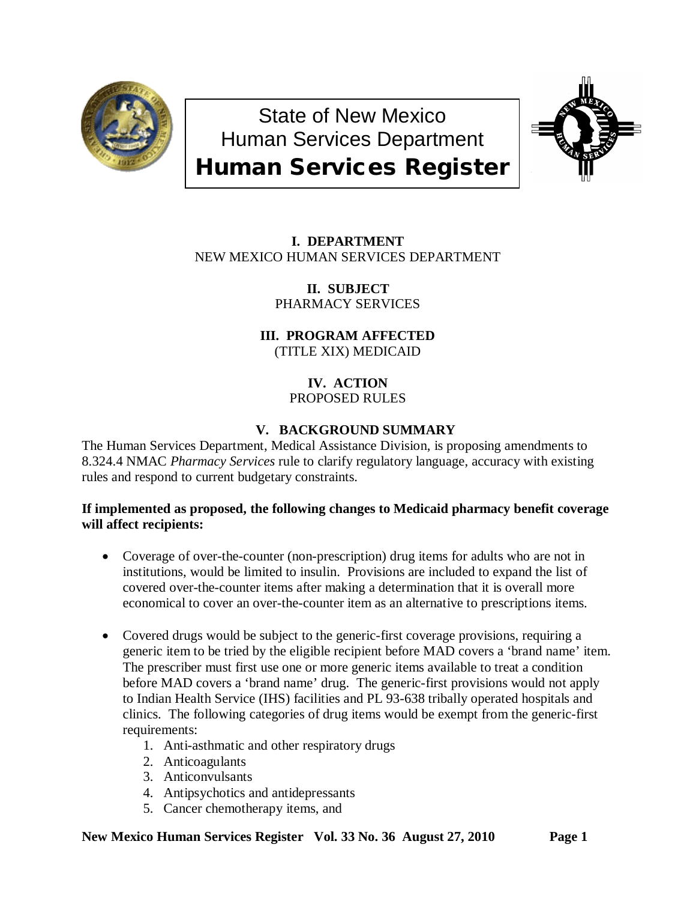

State of New Mexico Human Services Department Human Services Register



# **I. DEPARTMENT** NEW MEXICO HUMAN SERVICES DEPARTMENT

**II. SUBJECT** PHARMACY SERVICES

**III. PROGRAM AFFECTED** (TITLE XIX) MEDICAID

# **IV. ACTION** PROPOSED RULES

# **V. BACKGROUND SUMMARY**

The Human Services Department, Medical Assistance Division, is proposing amendments to 8.324.4 NMAC *Pharmacy Services* rule to clarify regulatory language, accuracy with existing rules and respond to current budgetary constraints.

## **If implemented as proposed, the following changes to Medicaid pharmacy benefit coverage will affect recipients:**

- Coverage of over-the-counter (non-prescription) drug items for adults who are not in institutions, would be limited to insulin. Provisions are included to expand the list of covered over-the-counter items after making a determination that it is overall more economical to cover an over-the-counter item as an alternative to prescriptions items.
- Covered drugs would be subject to the generic-first coverage provisions, requiring a generic item to be tried by the eligible recipient before MAD covers a 'brand name' item. The prescriber must first use one or more generic items available to treat a condition before MAD covers a 'brand name' drug. The generic-first provisions would not apply to Indian Health Service (IHS) facilities and PL 93-638 tribally operated hospitals and clinics. The following categories of drug items would be exempt from the generic-first requirements:
	- 1. Anti-asthmatic and other respiratory drugs
	- 2. Anticoagulants
	- 3. Anticonvulsants
	- 4. Antipsychotics and antidepressants
	- 5. Cancer chemotherapy items, and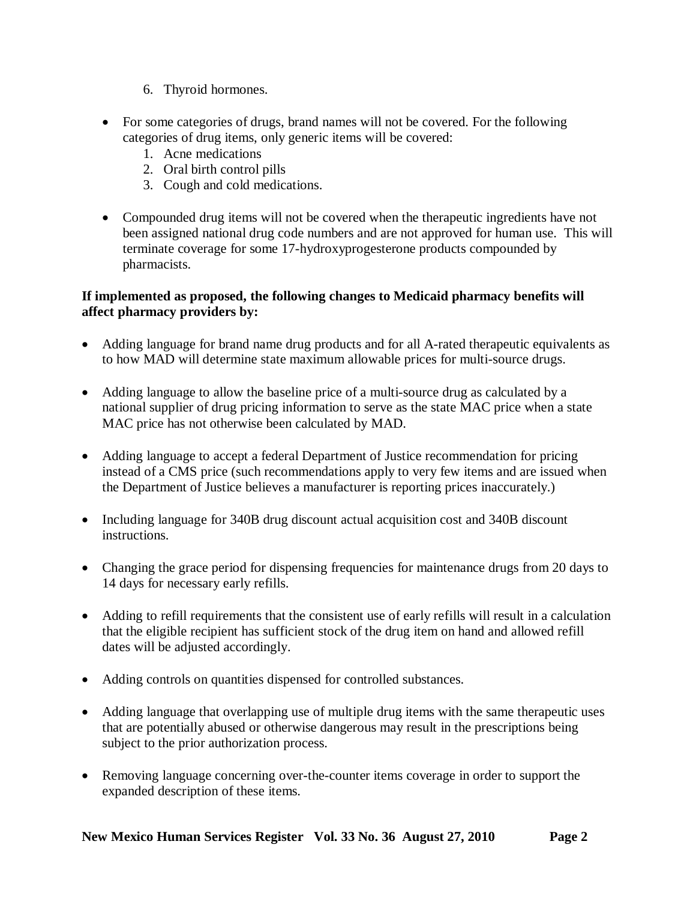- 6. Thyroid hormones.
- For some categories of drugs, brand names will not be covered. For the following categories of drug items, only generic items will be covered:
	- 1. Acne medications
	- 2. Oral birth control pills
	- 3. Cough and cold medications.
- Compounded drug items will not be covered when the therapeutic ingredients have not been assigned national drug code numbers and are not approved for human use. This will terminate coverage for some 17-hydroxyprogesterone products compounded by pharmacists.

## **If implemented as proposed, the following changes to Medicaid pharmacy benefits will affect pharmacy providers by:**

- Adding language for brand name drug products and for all A-rated therapeutic equivalents as to how MAD will determine state maximum allowable prices for multi-source drugs.
- Adding language to allow the baseline price of a multi-source drug as calculated by a national supplier of drug pricing information to serve as the state MAC price when a state MAC price has not otherwise been calculated by MAD.
- Adding language to accept a federal Department of Justice recommendation for pricing instead of a CMS price (such recommendations apply to very few items and are issued when the Department of Justice believes a manufacturer is reporting prices inaccurately.)
- Including language for 340B drug discount actual acquisition cost and 340B discount instructions.
- Changing the grace period for dispensing frequencies for maintenance drugs from 20 days to 14 days for necessary early refills.
- Adding to refill requirements that the consistent use of early refills will result in a calculation that the eligible recipient has sufficient stock of the drug item on hand and allowed refill dates will be adjusted accordingly.
- Adding controls on quantities dispensed for controlled substances.
- Adding language that overlapping use of multiple drug items with the same therapeutic uses that are potentially abused or otherwise dangerous may result in the prescriptions being subject to the prior authorization process.
- Removing language concerning over-the-counter items coverage in order to support the expanded description of these items.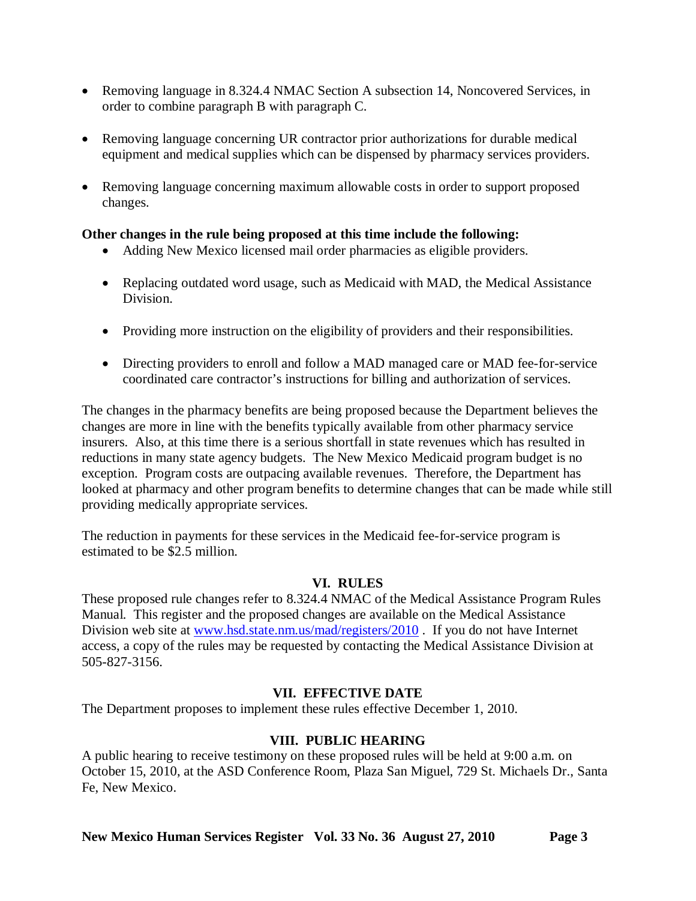- Removing language in 8.324.4 NMAC Section A subsection 14, Noncovered Services, in order to combine paragraph B with paragraph C.
- Removing language concerning UR contractor prior authorizations for durable medical equipment and medical supplies which can be dispensed by pharmacy services providers.
- Removing language concerning maximum allowable costs in order to support proposed changes.

## **Other changes in the rule being proposed at this time include the following:**

- Adding New Mexico licensed mail order pharmacies as eligible providers.
- Replacing outdated word usage, such as Medicaid with MAD, the Medical Assistance Division.
- Providing more instruction on the eligibility of providers and their responsibilities.
- Directing providers to enroll and follow a MAD managed care or MAD fee-for-service coordinated care contractor's instructions for billing and authorization of services.

The changes in the pharmacy benefits are being proposed because the Department believes the changes are more in line with the benefits typically available from other pharmacy service insurers. Also, at this time there is a serious shortfall in state revenues which has resulted in reductions in many state agency budgets. The New Mexico Medicaid program budget is no exception. Program costs are outpacing available revenues. Therefore, the Department has looked at pharmacy and other program benefits to determine changes that can be made while still providing medically appropriate services.

The reduction in payments for these services in the Medicaid fee-for-service program is estimated to be \$2.5 million.

## **VI. RULES**

These proposed rule changes refer to 8.324.4 NMAC of the Medical Assistance Program Rules Manual. This register and the proposed changes are available on the Medical Assistance Division web site at [www.hsd.state.nm.us/mad/registers/2010](http://www.hsd.state.nm.us/mad/registers/2010). If you do not have Internet access, a copy of the rules may be requested by contacting the Medical Assistance Division at 505-827-3156.

## **VII. EFFECTIVE DATE**

The Department proposes to implement these rules effective December 1, 2010.

# **VIII. PUBLIC HEARING**

A public hearing to receive testimony on these proposed rules will be held at 9:00 a.m. on October 15, 2010, at the ASD Conference Room, Plaza San Miguel, 729 St. Michaels Dr., Santa Fe, New Mexico.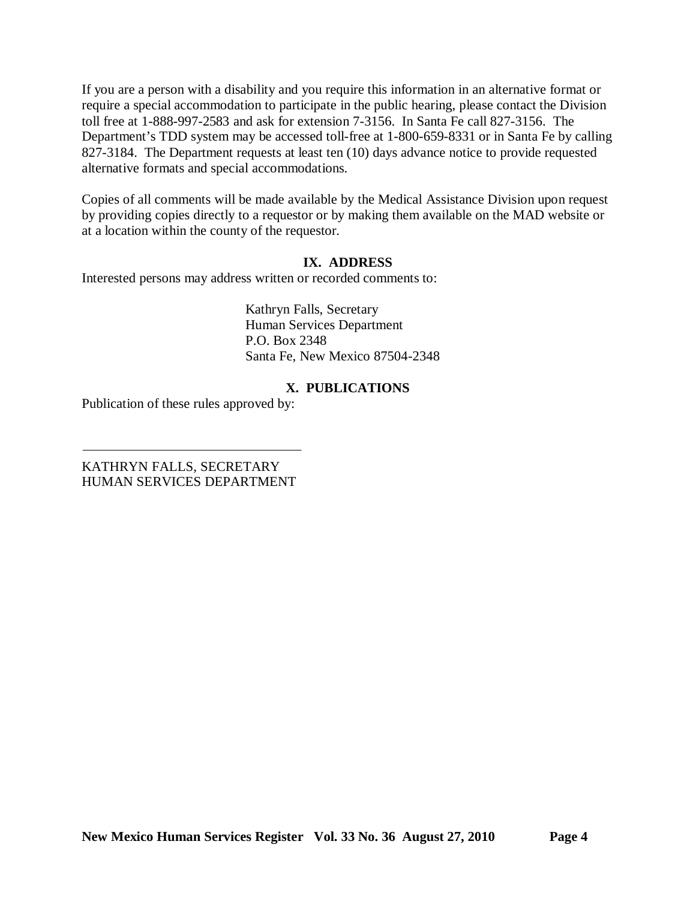If you are a person with a disability and you require this information in an alternative format or require a special accommodation to participate in the public hearing, please contact the Division toll free at 1-888-997-2583 and ask for extension 7-3156. In Santa Fe call 827-3156. The Department's TDD system may be accessed toll-free at 1-800-659-8331 or in Santa Fe by calling 827-3184. The Department requests at least ten (10) days advance notice to provide requested alternative formats and special accommodations.

Copies of all comments will be made available by the Medical Assistance Division upon request by providing copies directly to a requestor or by making them available on the MAD website or at a location within the county of the requestor.

### **IX. ADDRESS**

Interested persons may address written or recorded comments to:

Kathryn Falls, Secretary Human Services Department P.O. Box 2348 Santa Fe, New Mexico 87504-2348

## **X. PUBLICATIONS**

Publication of these rules approved by:

KATHRYN FALLS, SECRETARY HUMAN SERVICES DEPARTMENT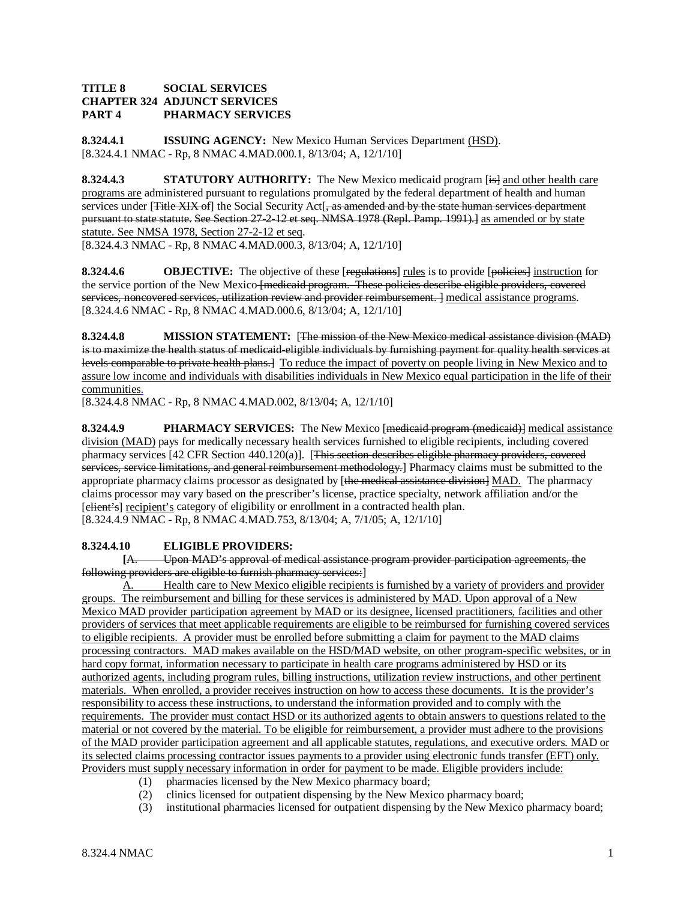### **TITLE 8 SOCIAL SERVICES CHAPTER 324 ADJUNCT SERVICES PART 4 PHARMACY SERVICES**

**8.324.4.1 ISSUING AGENCY:** New Mexico Human Services Department (HSD). [8.324.4.1 NMAC - Rp, 8 NMAC 4.MAD.000.1, 8/13/04; A, 12/1/10]

**8.324.4.3 STATUTORY AUTHORITY:** The New Mexico medicaid program [is] and other health care programs are administered pursuant to regulations promulgated by the federal department of health and human services under [Title XIX of] the Social Security Act<sup>[</sup>, as amended and by the state human services department pursuant to state statute. See Section 27-2-12 et seq. NMSA 1978 (Repl. Pamp. 1991).] as amended or by state statute. See NMSA 1978, Section 27-2-12 et seq .

[8.324.4.3 NMAC - Rp, 8 NMAC 4.MAD.000.3, 8/13/04; A, 12/1/10]

**8.324.4.6 OBJECTIVE:** The objective of these [regulations] rules is to provide [policies] instruction for the service portion of the New Mexico <del>[medicaid program. These policies describe eligible providers, covered</del> services, noncovered services, utilization review and provider reimbursement. ] medical assistance programs. [8.324.4.6 NMAC - Rp, 8 NMAC 4.MAD.000.6, 8/13/04; A, 12/1/10]

**8.324.4.8 MISSION STATEMENT:** [The mission of the New Mexico medical assistance division (MAD) is to maximize the health status of medicaid-eligible individuals by furnishing payment for quality health services at levels comparable to private health plans.] To reduce the impact of poverty on people living in New Mexico and to assure low income and individuals with disabilities individuals in New Mexico equal participation in the life of their communities.

[8.324.4.8 NMAC - Rp, 8 NMAC 4.MAD.002, 8/13/04; A, 12/1/10]

**8.324.4.9 PHARMACY SERVICES:** The New Mexico [medicaid program (medicaid)] medical assistance division (MAD) pays for medically necessary health services furnished to eligible recipients, including covered pharmacy services [42 CFR Section 440.120(a)]. [This section describes eligible pharmacy providers, covered services, service limitations, and general reimbursement methodology.] Pharmacy claims must be submitted to the appropriate pharmacy claims processor as designated by [the medical assistance division] MAD. The pharmacy claims processor may vary based on the prescriber's license, practice specialty, network affiliation and/or the [elient's] recipient's category of eligibility or enrollment in a contracted health plan. [8.324.4.9 NMAC - Rp, 8 NMAC 4.MAD.753, 8/13/04; A, 7/1/05; A, 12/1/10]

### **8.324.4.10 ELIGIBLE PROVIDERS:**

**[**A. Upon MAD's approval of medical assistance program provider participation agreements, the following providers are eligible to furnish pharmacy services:]

A. Health care to New Mexico eligible recipients is furnished by a variety of providers and provider groups. The reimbursement and billing for these services is administered by MAD. Upon approval of a New Mexico MAD provider participation agreement by MAD or its designee, licensed practitioners, facilities and other providers of services that meet applicable requirements are eligible to be reimbursed for furnishing covered services to eligible recipients. A provider must be enrolled before submitting a claim for payment to the MAD claims processing contractors. MAD makes available on the HSD/MAD website, on other program-specific websites, or in hard copy format, information necessary to participate in health care programs administered by HSD or its authorized agents, including program rules, billing instructions, utilization review instructions, and other pertinent materials. When enrolled, a provider receives instruction on how to access these documents. It is the provider's responsibility to access these instructions, to understand the information provided and to comply with the requirements. The provider must contact HSD or its authorized agents to obtain answers to questions related to the material or not covered by the material. To be eligible for reimbursement, a provider must adhere to the provisions of the MAD provider participation agreement and all applicable statutes, regulations, and executive orders. MAD or its selected claims processing contractor issues payments to a provider using electronic funds transfer (EFT) only. Providers must supply necessary information in order for payment to be made. Eligible providers include:

- (1) pharmacies licensed by the New Mexico pharmacy board;
- (2) clinics licensed for outpatient dispensing by the New Mexico pharmacy board;
- (3) institutional pharmacies licensed for outpatient dispensing by the New Mexico pharmacy board;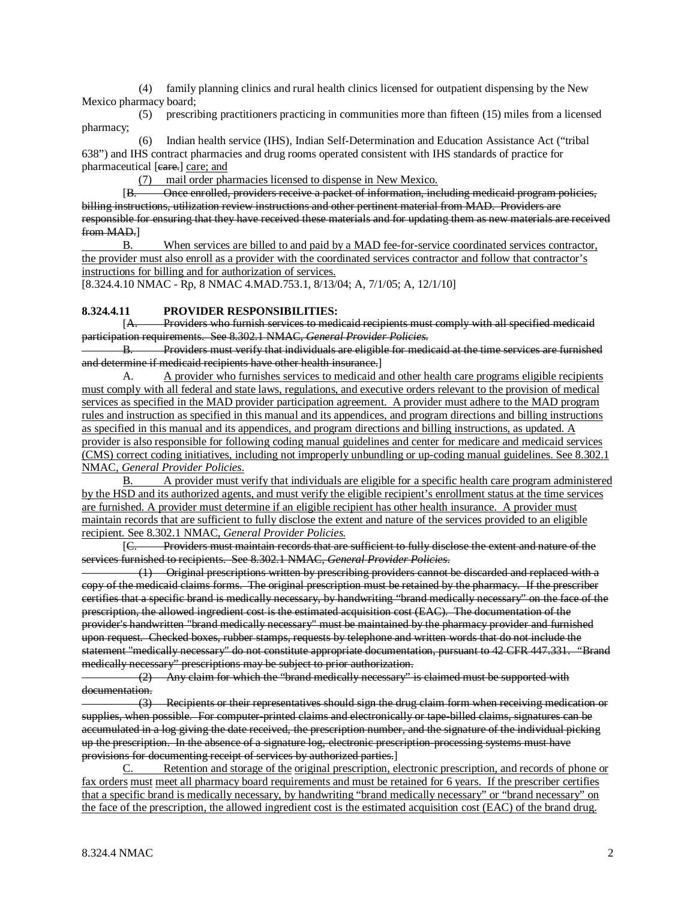(4) family planning clinics and rural health clinics licensed for outpatient dispensing by the New Mexico pharmacy board;

 (5) prescribing practitioners practicing in communities more than fifteen (15) miles from a licensed pharmacy;

 (6) Indian health service (IHS), Indian Self-Determination and Education Assistance Act ("tribal 638") and IHS contract pharmacies and drug rooms operated consistent with IHS standards of practice for pharmaceutical [eare.] care; and

(7) mail order pharmacies licensed to dispense in New Mexico.

 $[**B**]$ B. Once enrolled, providers receive a packet of information, including medicaid program policies, billing instructions, utilization review instructions and other pertinent material from MAD. Providers are responsible for ensuring that they have received these materials and for updating them as new materials are received from MAD.]

B. When services are billed to and paid by a MAD fee-for-service coordinated services contractor, the provider must also enroll as a provider with the coordinated services contractor and follow that contractor's instructions for billing and for authorization of services.

[8.324.4.10 NMAC - Rp, 8 NMAC 4.MAD.753.1, 8/13/04; A, 7/1/05; A, 12/1/10]

#### **8.324.4.11 PROVIDER RESPONSIBILITIES:**

[A. Providers who furnish services to medicaid recipients must comply with all specified medicaid participation requirements. See 8.302.1 NMAC, *General Provider Policies.*

B. Providers must verify that individuals are eligible for medicaid at the time services are furnished and determine if medicaid recipients have other health insurance. ]

A. A provider who furnishes services to medicaid and other health care programs eligible recipients must comply with all federal and state laws, regulations, and executive orders relevant to the provision of medical services as specified in the MAD provider participation agreement. A provider must adhere to the MAD program rules and instruction as specified in this manual and its appendices, and program directions and billing instructions as specified in this manual and its appendices, and program directions and billing instructions, as updated. A provider is also responsible for following coding manual guidelines and center for medicare and medicaid services (CMS) correct coding initiatives, including not improperly unbundling or up-coding manual guidelines. See 8.302.1 NMAC, *General Provider Policies*.

B. A provider must verify that individuals are eligible for a specific health care program administered by the HSD and its authorized agents, and must verify the eligible recipient's enrollment status at the time services are furnished. A provider must determine if an eligible recipient has other health insurance. A provider must maintain records that are sufficient to fully disclose the extent and nature of the services provided to an eligible recipient. See 8.302.1 NMAC, *General Provider Policies.*

 $[<sub>C</sub>]$ C. Providers must maintain records that are sufficient to fully disclose the extent and nature of the services furnished to recipients. See 8.302.1 NMAC, *General Provider Policies*.

 (1) Original prescriptions written by prescribing providers cannot be discarded and replaced with a copy of the medicaid claims forms. The original prescription must be retained by the pharmacy. If the prescriber certifies that a specific brand is medically necessary, by handwriting "brand medically necessary" on the face of the prescription, the allowed ingredient cost is the estimated acquisition cost (EAC). The documentation of the provider's handwritten "brand medically necessary" must be maintained by the pharmacy provider and furnished upon request. Checked boxes, rubber stamps, requests by telephone and written words that do not include the statement "medically necessary" do not constitute appropriate documentation, pursuant to 42 CFR 447.331. *"*Brand medically necessary" prescriptions may be subject to prior authorization.

 (2) Any claim for which the "brand medically necessary" is claimed must be supported with documentation.

 (3) Recipients or their representatives should sign the drug claim form when receiving medication or supplies, when possible. For computer-printed claims and electronically or tape-billed claims, signatures can be accumulated in a log giving the date received, the prescription number, and the signature of the individual picking up the prescription. In the absence of a signature log, electronic prescription-processing systems must have provisions for documenting receipt of services by authorized parties.]

C. Retention and storage of the original prescription, electronic prescription, and records of phone or fax orders must meet all pharmacy board requirements and must be retained for 6 years.If the prescriber certifies that a specific brand is medically necessary, by handwriting "brand medically necessary" or "brand necessary" on the face of the prescription, the allowed ingredient cost is the estimated acquisition cost (EAC) of the brand drug.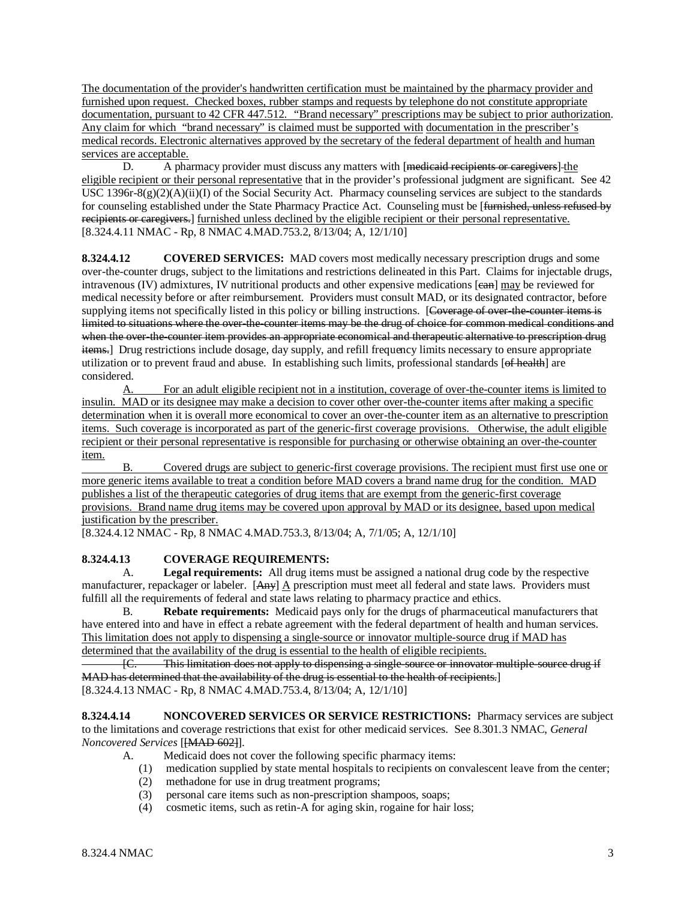The documentation of the provider's handwritten certification must be maintained by the pharmacy provider and furnished upon request. Checked boxes, rubber stamps and requests by telephone do not constitute appropriate documentation, pursuant to 42 CFR 447.512. *"*Brand necessary" prescriptions may be subject to prior authorization. Any claim for which "brand necessary" is claimed must be supported with documentation in the prescriber's medical records. Electronic alternatives approved by the secretary of the federal department of health and human services are acceptable.

D. A pharmacy provider must discuss any matters with [medicaid recipients or caregivers] the eligible recipient or their personal representative that in the provider's professional judgment are significant. See 42 USC 1396r-8(g)(2)(A)(ii)(I) of the Social Security Act. Pharmacy counseling services are subject to the standards for counseling established under the State Pharmacy Practice Act. Counseling must be [<del>furnished, unless refused by</del> recipients or caregivers.] furnished unless declined by the eligible recipient or their personal representative. [8.324.4.11 NMAC - Rp, 8 NMAC 4.MAD.753.2, 8/13/04; A, 12/1/10]

**8.324.4.12 COVERED SERVICES:** MAD covers most medically necessary prescription drugs and some over-the-counter drugs, subject to the limitations and restrictions delineated in this Part. Claims for injectable drugs, intravenous (IV) admixtures, IV nutritional products and other expensive medications [ean] may be reviewed for medical necessity before or after reimbursement. Providers must consult MAD, or its designated contractor, before supplying items not specifically listed in this policy or billing instructions. [Coverage of over-the-counter items is limited to situations where the over-the-counter items may be the drug of choice for common medical conditions and when the over-the-counter item provides an appropriate economical and therapeutic alternative to prescription drug items.] Drug restrictions include dosage, day supply, and refill frequency limits necessary to ensure appropriate utilization or to prevent fraud and abuse. In establishing such limits, professional standards [of health] are considered.<br>A.

A. For an adult eligible recipient not in a institution, coverage of over-the-counter items is limited to insulin. MAD or its designee may make a decision to cover other over-the-counter items after making a specific determination when it is overall more economical to cover an over-the-counter item as an alternative to prescription items. Such coverage is incorporated as part of the generic-first coverage provisions. Otherwise, the adult eligible recipient or their personal representative is responsible for purchasing or otherwise obtaining an over-the-counter item.

B. Covered drugs are subject to generic-first coverage provisions. The recipient must first use one or more generic items available to treat a condition before MAD covers a brand name drug for the condition. MAD publishes a list of the therapeutic categories of drug items that are exempt from the generic-first coverage provisions. Brand name drug items may be covered upon approval by MAD or its designee, based upon medical justification by the prescriber.

[8.324.4.12 NMAC - Rp, 8 NMAC 4.MAD.753.3, 8/13/04; A, 7/1/05; A, 12/1/10]

### **8.324.4.13 COVERAGE REQUIREMENTS:**

A. **Legal requirements:** All drug items must be assigned a national drug code by the respective manufacturer, repackager or labeler. [Any]  $\Delta$  prescription must meet all federal and state laws. Providers must fulfill all the requirements of federal and state laws relating to pharmacy practice and ethics.

B. **Rebate requirements:** Medicaid pays only for the drugs of pharmaceutical manufacturers that have entered into and have in effect a rebate agreement with the federal department of health and human services. This limitation does not apply to dispensing a single-source or innovator multiple-source drug if MAD has determined that the availability of the drug is essential to the health of eligible recipients.

[C. This limitation does not apply to dispensing a single-source or innovator multiple-source drug if MAD has determined that the availability of the drug is essential to the health of recipients. ] [8.324.4.13 NMAC - Rp, 8 NMAC 4.MAD.753.4, 8/13/04; A, 12/1/10]

**8.324.4.14 NONCOVERED SERVICES OR SERVICE RESTRICTIONS:** Pharmacy services are subject to the limitations and coverage restrictions that exist for other medicaid services. See 8.301.3 NMAC, *General Noncovered Services* [[MAD 602] ].

- A. Medicaid does not cover the following specific pharmacy items:
	- (1) medication supplied by state mental hospitals to recipients on convalescent leave from the center;
	- (2) methadone for use in drug treatment programs;
	- (3) personal care items such as non-prescription shampoos, soaps;
	- (4) cosmetic items, such as retin-A for aging skin, rogaine for hair loss;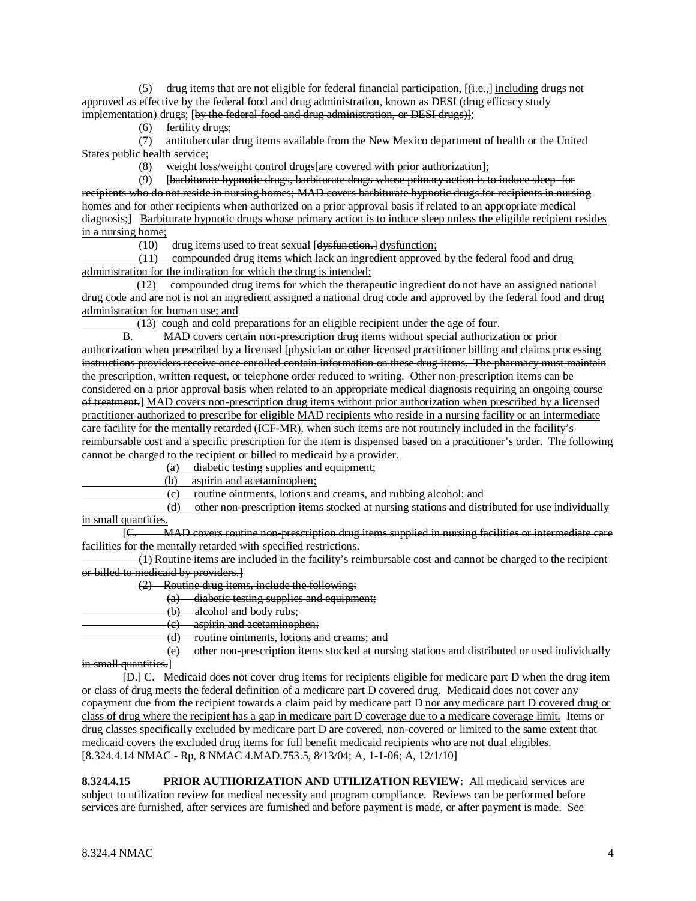(5) drug items that are not eligible for federal financial participation,  $[\frac{1}{1}, \frac{1}{1}, \frac{1}{1}]$  including drugs not approved as effective by the federal food and drug administration, known as DESI (drug efficacy study implementation) drugs; [by the federal food and drug administration, or DESI drugs)];

(6) fertility drugs;

 (7) antitubercular drug items available from the New Mexico department of health or the United States public health service;

(8) weight loss/weight control drugs [are covered with prior authorization];

 $(9)$ barbiturate hypnotic drugs, barbiturate drugs whose primary action is to induce sleep for recipients who do not reside in nursing homes; MAD covers barbiturate hypnotic drugs for recipients in nursing homes and for other recipients when authorized on a prior approval basis if related to an appropriate medical diagnosis;] Barbiturate hypnotic drugs whose primary action is to induce sleep unless the eligible recipient resides in a nursing home;

(10) drug items used to treat sexual [d<del>ysfunction.]</del> dysfunction;

 (11) compounded drug items which lack an ingredient approved by the federal food and drug administration for the indication for which the drug is intended;

(12) compounded drug items for which the therapeutic ingredient do not have an assigned national drug code and are not is not an ingredient assigned a national drug code and approved by the federal food and drug administration for human use; and

(13) cough and cold preparations for an eligible recipient under the age of four.

B. MAD covers certain non-prescription drug items without special authorization or prior authorization when prescribed by a licensed [physician or other licensed practitioner billing and claims processing instructions providers receive once enrolled contain information on these drug items. The pharmacy must maintain the prescription, written request, or telephone order reduced to writing. Other non-prescription items can be considered on a prior approval basis when related to an appropriate medical diagnosis requiring an ongoing course of treatment.] MAD covers non-prescription drug items without prior authorization when prescribed by a licensed practitioner authorized to prescribe for eligible MAD recipients who reside in a nursing facility or an intermediate care facility for the mentally retarded (ICF-MR), when such items are not routinely included in the facility's reimbursable cost and a specific prescription for the item is dispensed based on a practitioner's order. The following cannot be charged to the recipient or billed to medicaid by a provider.

 $(a)$ diabetic testing supplies and equipment;

(b) aspirin and acetaminophen;

(c) routine ointments, lotions and creams, and rubbing alcohol; and

 (d) other non-prescription items stocked at nursing stations and distributed for use individually in small quantities.

 $[<sub>+</sub>]$ C. MAD covers routine non-prescription drug items supplied in nursing facilities or intermediate care facilities for the mentally retarded with specified restrictions.

 (1) Routine items are included in the facility's reimbursable cost and cannot be charged to the recipient or billed to medicaid by providers.]

(2) Routine drug items, include the following:

(a) diabetic testing supplies and equipment;

(b) alcohol and body rubs;

(c) aspirin and acetaminophen;

(d) routine ointments, lotions and creams; and

 (e) other non-prescription items stocked at nursing stations and distributed or used individually in small quantities.]

[ $\Box$ .]  $\underline{C}$ . Medicaid does not cover drug items for recipients eligible for medicare part D when the drug item or class of drug meets the federal definition of a medicare part D covered drug. Medicaid does not cover any copayment due from the recipient towards a claim paid by medicare part D nor any medicare part D covered drug or class of drug where the recipient has a gap in medicare part D coverage due to a medicare coverage limit. Items or [8.324.4.14 NMAC - Rp, 8 NMAC 4.MAD.753.5, 8/13/04; A, 1-1-06; A, 12/1/10] drug classes specifically excluded by medicare part D are covered, non-covered or limited to the same extent that medicaid covers the excluded drug items for full benefit medicaid recipients who are not dual eligibles.

**8.324.4.15 PRIOR AUTHORIZATION AND UTILIZATION REVIEW:** All medicaid services are subject to utilization review for medical necessity and program compliance. Reviews can be performed before services are furnished, after services are furnished and before payment is made, or after payment is made. See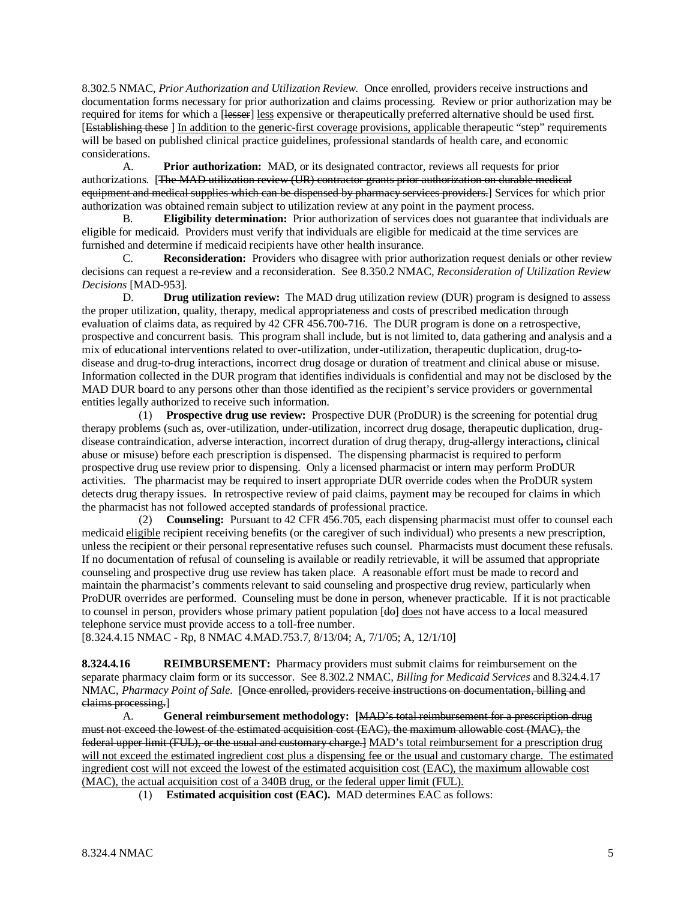8.302.5 NMAC, *Prior Authorization and Utilization Review*. Once enrolled, providers receive instructions and documentation forms necessary for prior authorization and claims processing. Review or prior authorization may be required for items for which a [lesser] less expensive or therapeutically preferred alternative should be used first. [Establishing these ] In addition to the generic-first coverage provisions, applicable therapeutic "step" requirements will be based on published clinical practice guidelines, professional standards of health care, and economic considerations.

A. **Prior authorization:** MAD, or its designated contractor, reviews all requests for prior authorizations. [The MAD utilization review (UR) contractor grants prior authorization on durable medical e<del>quipment and medical supplies which can be dispensed by pharmacy services providers.</del>] Services for which prior authorization was obtained remain subject to utilization review at any point in the payment process.

B. **Eligibility determination:** Prior authorization of services does not guarantee that individuals are eligible for medicaid. Providers must verify that individuals are eligible for medicaid at the time services are furnished and determine if medicaid recipients have other health insurance.

C. **Reconsideration:** Providers who disagree with prior authorization request denials or other review decisions can request a re-review and a reconsideration. See 8.350.2 NMAC, *Reconsideration of Utilization Review Decisions* [MAD-953].

D. **Drug utilization review:** The MAD drug utilization review (DUR) program is designed to assess the proper utilization, quality, therapy, medical appropriateness and costs of prescribed medication through evaluation of claims data, as required by 42 CFR 456.700-716. The DUR program is done on a retrospective, prospective and concurrent basis. This program shall include, but is not limited to, data gathering and analysis and a mix of educational interventions related to over-utilization, under-utilization, therapeutic duplication, drug-todisease and drug-to-drug interactions, incorrect drug dosage or duration of treatment and clinical abuse or misuse. Information collected in the DUR program that identifies individuals is confidential and may not be disclosed by the MAD DUR board to any persons other than those identified as the recipient's service providers or governmental entities legally authorized to receive such information.

 (1) **Prospective drug use review:** Prospective DUR (ProDUR) is the screening for potential drug therapy problems (such as, over-utilization, under-utilization, incorrect drug dosage, therapeutic duplication, drugdisease contraindication, adverse interaction, incorrect duration of drug therapy, drug-allergy interactions**,** clinical abuse or misuse) before each prescription is dispensed. The dispensing pharmacist is required to perform prospective drug use review prior to dispensing. Only a licensed pharmacist or intern may perform ProDUR activities. The pharmacist may be required to insert appropriate DUR override codes when the ProDUR system detects drug therapy issues. In retrospective review of paid claims, payment may be recouped for claims in which the pharmacist has not followed accepted standards of professional practice.

 (2) **Counseling:** Pursuant to 42 CFR 456.705, each dispensing pharmacist must offer to counsel each medicaid eligible recipient receiving benefits (or the caregiver of such individual) who presents a new prescription, unless the recipient or their personal representative refuses such counsel. Pharmacists must document these refusals. If no documentation of refusal of counseling is available or readily retrievable, it will be assumed that appropriate counseling and prospective drug use review has taken place. A reasonable effort must be made to record and maintain the pharmacist's comments relevant to said counseling and prospective drug review, particularly when ProDUR overrides are performed. Counseling must be done in person, whenever practicable. If it is not practicable to counsel in person, providers whose primary patient population [do] does not have access to a local measured telephone service must provide access to a toll-free number.

[8.324.4.15 NMAC - Rp, 8 NMAC 4.MAD.753.7, 8/13/04; A, 7/1/05; A, 12/1/10]

**8.324.4.16 REIMBURSEMENT:** Pharmacy providers must submit claims for reimbursement on the separate pharmacy claim form or its successor. See 8.302.2 NMAC, *Billing for Medicaid Services* and 8.324.4.17 NMAC, *Pharmacy Point of Sale*. [Once enrolled, providers receive instructions on documentation, billing and claims processing. ]

A. **General reimbursement methodology: [** MAD's total reimbursement for a prescription drug must not exceed the lowest of the estimated acquisition cost (EAC), the maximum allowable cost (MAC), the federal upper limit (FUL), or the usual and customary charge.] MAD's total reimbursement for a prescription drug will not exceed the estimated ingredient cost plus a dispensing fee or the usual and customary charge. The estimated ingredient cost will not exceed the lowest of the estimated acquisition cost (EAC), the maximum allowable cost (MAC), the actual acquisition cost of a 340B drug, or the federal upper limit (FUL).

(1) **Estimated acquisition cost (EAC).** MAD determines EAC as follows: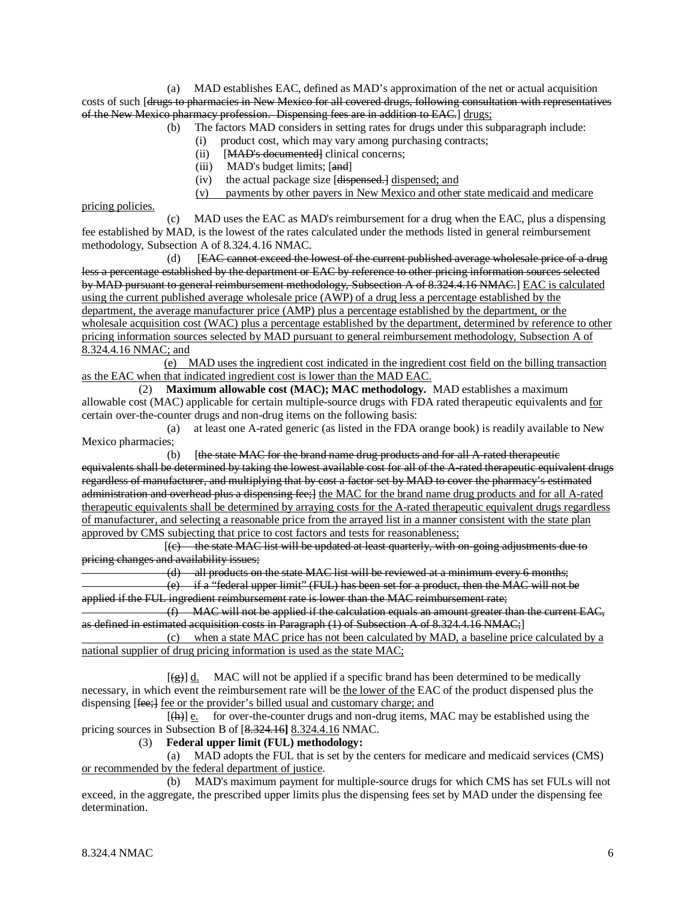(a) MAD establishes EAC, defined as MAD's approximation of the net or actual acquisition costs of such [drugs to pharmacies in New Mexico for all covered drugs, following consultation with representatives of the New Mexico pharmacy profession. Dispensing fees are in addition to EAC.] drugs;

- (b) The factors MAD considers in setting rates for drugs under this subparagraph include:
	- (i) product cost, which may vary among purchasing contracts;
	- (ii) [MAD's documented] clinical concerns;
	- (iii) MAD's budget limits; [and]
- (iv) the actual package size [<del>dispensed.]</del> dispensed; and
	- (v) payments by other payers in New Mexico and other state medicaid and medicare

pricing policies.

 (c) MAD uses the EAC as MAD's reimbursement for a drug when the EAC, plus a dispensing fee established by MAD, is the lowest of the rates calculated under the methods listed in general reimbursement methodology, Subsection A of 8.324.4.16 NMAC.

(d) **EAC cannot exceed the lowest of the current published average wholesale price of a drug** less a percentage established by the department or EAC by reference to other pricing information sources selected by MAD pursuant to general reimbursement methodology, Subsection A of 8.324.4.16 NMAC.] EAC is calculated using the current published average wholesale price (AWP) of a drug less a percentage established by the department, the average manufacturer price (AMP) plus a percentage established by the department, or the wholesale acquisition cost (WAC) plus a percentage established by the department, determined by reference to other pricing information sources selected by MAD pursuant to general reimbursement methodology, Subsection A of 8.324.4.16 NMAC; and

(e) MAD uses the ingredient cost indicated in the ingredient cost field on the billing transaction as the EAC when that indicated ingredient cost is lower than the MAD EAC.

 (2) **Maximum allowable cost (MAC); MAC methodology.** MAD establishes a maximum allowable cost (MAC) applicable for certain multiple-source drugs with FDA rated therapeutic equivalents and for certain over-the-counter drugs and non-drug items on the following basis:

 (a) at least one A-rated generic (as listed in the FDA orange book) is readily available to New Mexico pharmacies;

(b) [the state MAC for the brand name drug products and for all A-rated therapeutic equivalents shall be determined by taking the lowest available cost for all of the A-rated therapeutic equivalent drugs regardless of manufacturer, and multiplying that by cost a factor set by MAD to cover the pharmacy's estimated administration and overhead plus a dispensing fee; l the MAC for the brand name drug products and for all A-rated therapeutic equivalents shall be determined by arraying costs for the A-rated therapeutic equivalent drugs regardless of manufacturer, and selecting a reasonable price from the arrayed list in a manner consistent with the state plan approved by CMS subjecting that price to cost factors and tests for reasonableness;

 $\begin{bmatrix} 1 & 1 & 1 \\ 1 & 1 & 1 \end{bmatrix}$ (c) the state MAC list will be updated at least quarterly, with on-going adjustments due to pricing changes and availability issues;

(d) all products on the state MAC list will be reviewed at a minimum every 6 months;

 (e) if a "federal upper limit" (FUL) has been set for a product, then the MAC will not be applied if the FUL ingredient reimbursement rate is lower than the MAC reimbursement rate;

 (f) MAC will not be applied if the calculation equals an amount greater than the current EAC, as defined in estimated acquisition costs in Paragraph (1) of Subsection A of 8.324.4.16 NMAC;]

 (c) when a state MAC price has not been calculated by MAD, a baseline price calculated by a national supplier of drug pricing information is used as the state MAC;

 $[\frac{\epsilon}{\epsilon}]$  d. MAC will not be applied if a specific brand has been determined to be medically necessary, in which event the reimbursement rate will be the lower of the EAC of the product dispensed plus the dispensing [fee;] fee or the provider's billed usual and customary charge; and

 [  $\left[\frac{h}{h}\right]$  e. for over-the-counter drugs and non-drug items, MAC may be established using the pricing sources in Subsection B of [8.324.16**]** 8.324.4.16 NMAC.

#### (3) **Federal upper limit (FUL) methodology:**

 (a) MAD adopts the FUL that is set by the centers for medicare and medicaid services (CMS) or recommended by the federal department of justice .

 (b) MAD's maximum payment for multiple-source drugs for which CMS has set FULs will not exceed, in the aggregate, the prescribed upper limits plus the dispensing fees set by MAD under the dispensing fee determination.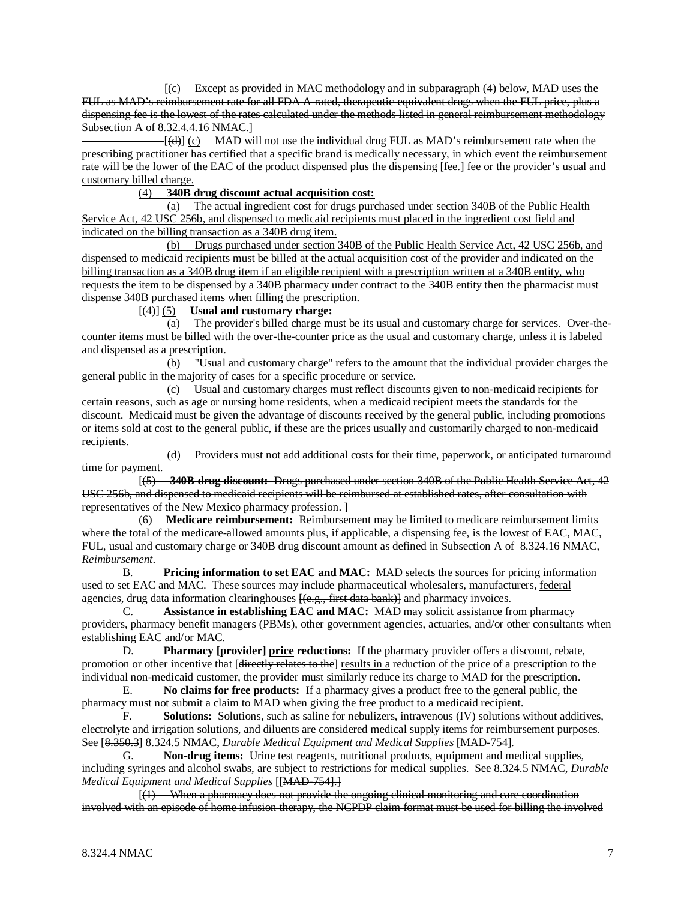[(c) Except as provided in MAC methodology and in subparagraph (4) below, MAD uses the FUL as MAD's reimbursement rate for all FDA A-rated, therapeutic-equivalent drugs when the FUL price, plus a dispensing fee is the lowest of the rates calculated under the methods listed in general reimbursement methodology Subsection A of 8.32.4.4.16 NMAC.]

 $[-[(\text{d})]$  (c) MAD will not use the individual drug FUL as MAD's reimbursement rate when the prescribing practitioner has certified that a specific brand is medically necessary, in which event the reimbursement rate will be the lower of the EAC of the product dispensed plus the dispensing [fee.] fee or the provider's usual and customary billed charge.

### (4) **340B drug discount actual acquisition cost:**

 (a) The actual ingredient cost for drugs purchased under section 340B of the Public Health Service Act, 42 USC 256b, and dispensed to medicaid recipients must placed in the ingredient cost field and indicated on the billing transaction as a 340B drug item.

(b) Drugs purchased under section 340B of the Public Health Service Act, 42 USC 256b, and dispensed to medicaid recipients must be billed at the actual acquisition cost of the provider and indicated on the billing transaction as a 340B drug item if an eligible recipient with a prescription written at a 340B entity, who requests the item to be dispensed by a 340B pharmacy under contract to the 340B entity then the pharmacist must dispense 340B purchased items when filling the prescription.

### [(4)] (5) **Usual and customary charge:**

 (a) The provider's billed charge must be its usual and customary charge for services. Over-thecounter items must be billed with the over-the-counter price as the usual and customary charge, unless it is labeled and dispensed as a prescription.

 (b) "Usual and customary charge" refers to the amount that the individual provider charges the general public in the majority of cases for a specific procedure or service.

 (c) Usual and customary charges must reflect discounts given to non-medicaid recipients for certain reasons, such as age or nursing home residents, when a medicaid recipient meets the standards for the discount. Medicaid must be given the advantage of discounts received by the general public, including promotions or items sold at cost to the general public, if these are the prices usually and customarily charged to non-medicaid recipients.

 (d) Providers must not add additional costs for their time, paperwork, or anticipated turnaround time for payment.

 [(5) **340B drug discount:** Drugs purchased under section 340B of the Public Health Service Act, 42 USC 256b, and dispensed to medicaid recipients will be reimbursed at established rates, after consultation with representatives of the New Mexico pharmacy profession. ]

 (6) **Medicare reimbursement:** Reimbursement may be limited to medicare reimbursement limits where the total of the medicare-allowed amounts plus, if applicable, a dispensing fee, is the lowest of EAC, MAC, FUL, usual and customary charge or 340B drug discount amount as defined in Subsection A of 8.324.16 NMAC, *Reimbursement*.

B. **Pricing information to set EAC and MAC:** MAD selects the sources for pricing information used to set EAC and MAC. These sources may include pharmaceutical wholesalers, manufacturers, federal agencies, drug data information clearinghouses <del>[(e.g., first data bank)]</del> and pharmacy invoices.

C. **Assistance in establishing EAC and MAC:** MAD may solicit assistance from pharmacy providers, pharmacy benefit managers (PBMs), other government agencies, actuaries, and/or other consultants when establishing EAC and/or MAC.

D. **Pharmacy [provider] price reductions:** If the pharmacy provider offers a discount, rebate, promotion or other incentive that [directly relates to the] results in a reduction of the price of a prescription to the individual non-medicaid customer, the provider must similarly reduce its charge to MAD for the prescription.

E. **No claims for free products:** If a pharmacy gives a product free to the general public, the pharmacy must not submit a claim to MAD when giving the free product to a medicaid recipient.

F. **Solutions:** Solutions, such as saline for nebulizers, intravenous (IV) solutions without additives, electrolyte and irrigation solutions, and diluents are considered medical supply items for reimbursement purposes. See [8.350.3] 8.324.5 NMAC, *Durable Medical Equipment and Medical Supplies* [MAD-754].

G. **Non-drug items:** Urine test reagents, nutritional products, equipment and medical supplies, including syringes and alcohol swabs, are subject to restrictions for medical supplies. See 8.324.5 NMAC, *Durable Medical Equipment and Medical Supplies* [[ MAD-754].]

 $\overline{a}$  $(1)$  When a pharmacy does not provide the ongoing clinical monitoring and care coordination involved with an episode of home infusion therapy, the NCPDP claim format must be used for billing the involved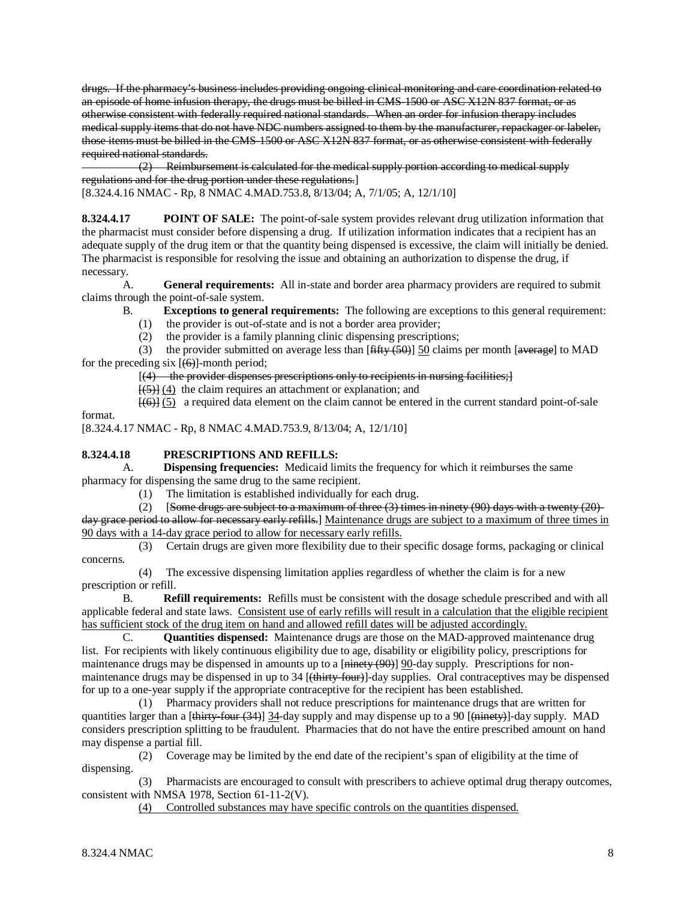drugs. If the pharmacy's business includes providing ongoing clinical monitoring and care coordination related to an episode of home infusion therapy, the drugs must be billed in CMS-1500 or ASC X12N 837 format, or as otherwise consistent with federally required national standards. When an order for infusion therapy includes medical supply items that do not have NDC numbers assigned to them by the manufacturer, repackager or labeler, those items must be billed in the CMS-1500 or ASC X12N 837 format, or as otherwise consistent with federally required national standards.

 (2) Reimbursement is calculated for the medical supply portion according to medical supply regulations and for the drug portion under these regulations. ] [8.324.4.16 NMAC - Rp, 8 NMAC 4.MAD.753.8, 8/13/04; A, 7/1/05; A, 12/1/10]

**8.324.4.17 POINT OF SALE:** The point-of-sale system provides relevant drug utilization information that the pharmacist must consider before dispensing a drug. If utilization information indicates that a recipient has an adequate supply of the drug item or that the quantity being dispensed is excessive, the claim will initially be denied. The pharmacist is responsible for resolving the issue and obtaining an authorization to dispense the drug, if necessary.

A. **General requirements:** All in-state and border area pharmacy providers are required to submit claims through the point-of-sale system.

B. **Exceptions to general requirements:** The following are exceptions to this general requirement:

(1) the provider is out-of-state and is not a border area provider;

(2) the provider is a family planning clinic dispensing prescriptions;

(3) the provider submitted on average less than  $[\overline{\text{fiffty (50)}}]$  50 claims per month  $[\overline{\text{average}}]$  to MAD for the preceding six  $[(6)]$ -month period;

 $[(4)$  the provider dispenses prescriptions only to recipients in nursing facilities;  $]$ 

[(5)] (4) the claim requires an attachment or explanation; and

 $\{\leftarrow\{\leftrightarrow\}\}\$  a required data element on the claim cannot be entered in the current standard point-of-sale

[8.324.4.17 NMAC - Rp, 8 NMAC 4.MAD.753.9, 8/13/04; A, 12/1/10]

### **8.324.4.18 PRESCRIPTIONS AND REFILLS:**

A. **Dispensing frequencies:** Medicaid limits the frequency for which it reimburses the same pharmacy for dispensing the same drug to the same recipient.

(1) The limitation is established individually for each drug.

(2) [Some drugs are subject to a maximum of three  $(3)$  times in ninety  $(90)$  days with a twenty  $(20)$ day grace period to allow for necessary early refills.] Maintenance drugs are subject to a maximum of three times in 90 days with a 14-day grace period to allow for necessary early refills.

 (3) Certain drugs are given more flexibility due to their specific dosage forms, packaging or clinical concerns.

 (4) The excessive dispensing limitation applies regardless of whether the claim is for a new prescription or refill.

B. **Refill requirements:** Refills must be consistent with the dosage schedule prescribed and with all applicable federal and state laws. Consistent use of early refills will result in a calculation that the eligible recipient has sufficient stock of the drug item on hand and allowed refill dates will be adjusted accordingly.

C. **Quantities dispensed:** Maintenance drugs are those on the MAD-approved maintenance drug list. For recipients with likely continuous eligibility due to age, disability or eligibility policy, prescriptions for maintenance drugs may be dispensed in amounts up to a [ninety (90)]  $90$ -day supply. Prescriptions for nonmaintenance drugs may be dispensed in up to 34 [<del>(thirty-four)</del>]-day supplies. Oral contraceptives may be dispensed for up to a one-year supply if the appropriate contraceptive for the recipient has been established.

 (1) Pharmacy providers shall not reduce prescriptions for maintenance drugs that are written for quantities larger than a [<del>thirty-four (34)</del>] 34-day supply and may dispense up to a 90 [<del>(ninety)</del>]-day supply. MAD considers prescription splitting to be fraudulent. Pharmacies that do not have the entire prescribed amount on hand may dispense a partial fill.

 (2) Coverage may be limited by the end date of the recipient's span of eligibility at the time of dispensing.

 (3) Pharmacists are encouraged to consult with prescribers to achieve optimal drug therapy outcomes, consistent with NMSA 1978, Section 61-11-2(V).

(4) Controlled substances may have specific controls on the quantities dispensed.

 $\begin{bmatrix} 1 & 1 \\ 1 & 1 \end{bmatrix}$ 

format.